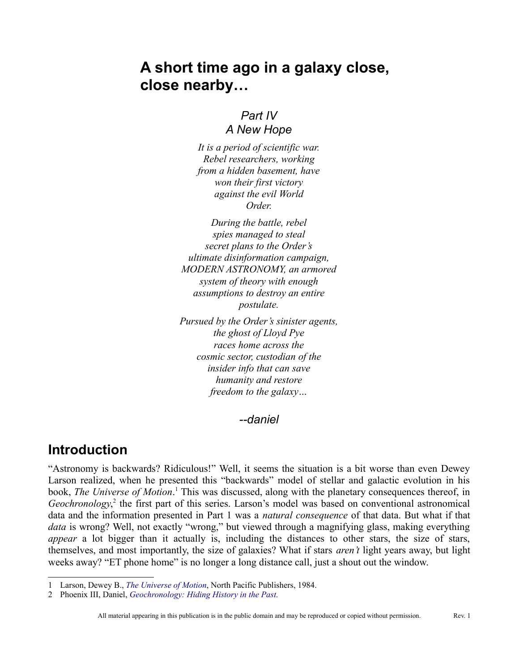# **A short time ago in a galaxy close, close nearby…**

#### *Part IV A New Hope*

*It is a period of scientific war. Rebel researchers, working from a hidden basement, have won their first victory against the evil World Order.*

*During the battle, rebel spies managed to steal secret plans to the Order's ultimate disinformation campaign, MODERN ASTRONOMY, an armored system of theory with enough assumptions to destroy an entire postulate.*

*Pursued by the Order's sinister agents, the ghost of Lloyd Pye races home across the cosmic sector, custodian of the insider info that can save humanity and restore freedom to the galaxy…*

*--daniel*

### **Introduction**

"Astronomy is backwards? Ridiculous!" Well, it seems the situation is a bit worse than even Dewey Larson realized, when he presented this "backwards" model of stellar and galactic evolution in his book, *The Universe of Motion*.<sup>[1](#page-0-0)</sup> This was discussed, along with the planetary consequences thereof, in Geochronology,<sup>[2](#page-0-1)</sup> the first part of this series. Larson's model was based on conventional astronomical data and the information presented in Part 1 was a *natural consequence* of that data. But what if that *data* is wrong? Well, not exactly "wrong," but viewed through a magnifying glass, making everything *appear* a lot bigger than it actually is, including the distances to other stars, the size of stars, themselves, and most importantly, the size of galaxies? What if stars *aren't* light years away, but light weeks away? "ET phone home" is no longer a long distance call, just a shout out the window.

<span id="page-0-0"></span><sup>1</sup> Larson, Dewey B., *[The Universe of Motion](http://library.rstheory.org/books/uom/index.html)*, North Pacific Publishers, 1984.

<span id="page-0-1"></span><sup>2</sup> Phoenix III, Daniel, *[Geochronology: Hiding History in the Past.](http://reciprocalsystem.org/PDFa/Geochronology%20(Phoenix%20III,%20Daniel).pdf)*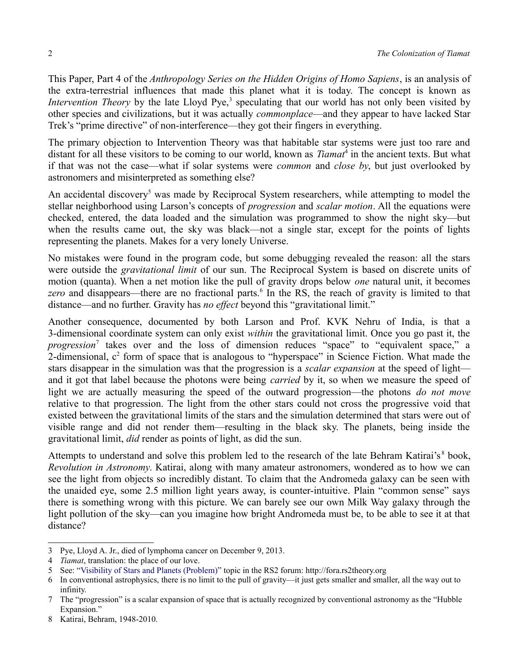This Paper, Part 4 of the *Anthropology Series on the Hidden Origins of Homo Sapiens*, is an analysis of the extra-terrestrial influences that made this planet what it is today. The concept is known as *Intervention Theory* by the late Lloyd Pye,<sup>[3](#page-1-0)</sup> speculating that our world has not only been visited by other species and civilizations, but it was actually *commonplace*—and they appear to have lacked Star Trek's "prime directive" of non-interference—they got their fingers in everything.

The primary objection to Intervention Theory was that habitable star systems were just too rare and distant for all these visitors to be coming to our world, known as *Tiamat*<sup>[4](#page-1-1)</sup> in the ancient texts. But what if that was not the case—what if solar systems were *common* and *close by*, but just overlooked by astronomers and misinterpreted as something else?

An accidental discovery<sup>[5](#page-1-2)</sup> was made by Reciprocal System researchers, while attempting to model the stellar neighborhood using Larson's concepts of *progression* and *scalar motion*. All the equations were checked, entered, the data loaded and the simulation was programmed to show the night sky—but when the results came out, the sky was black—not a single star, except for the points of lights representing the planets. Makes for a very lonely Universe.

No mistakes were found in the program code, but some debugging revealed the reason: all the stars were outside the *gravitational limit* of our sun. The Reciprocal System is based on discrete units of motion (quanta). When a net motion like the pull of gravity drops below *one* natural unit, it becomes zero and disappears—there are no fractional parts.<sup>[6](#page-1-3)</sup> In the RS, the reach of gravity is limited to that distance—and no further. Gravity has *no effect* beyond this "gravitational limit."

Another consequence, documented by both Larson and Prof. KVK Nehru of India, is that a 3-dimensional coordinate system can only exist *within* the gravitational limit. Once you go past it, the *progression*[7](#page-1-4) takes over and the loss of dimension reduces "space" to "equivalent space," a 2-dimensional,  $c<sup>2</sup>$  form of space that is analogous to "hyperspace" in Science Fiction. What made the stars disappear in the simulation was that the progression is a *scalar expansion* at the speed of light and it got that label because the photons were being *carried* by it, so when we measure the speed of light we are actually measuring the speed of the outward progression—the photons *do not move* relative to that progression. The light from the other stars could not cross the progressive void that existed between the gravitational limits of the stars and the simulation determined that stars were out of visible range and did not render them—resulting in the black sky. The planets, being inside the gravitational limit, *did* render as points of light, as did the sun.

Attempts to understand and solve this problem led to the research of the late Behram Katirai's<sup>[8](#page-1-5)</sup> book, *Revolution in Astronomy*. Katirai, along with many amateur astronomers, wondered as to how we can see the light from objects so incredibly distant. To claim that the Andromeda galaxy can be seen with the unaided eye, some 2.5 million light years away, is counter-intuitive. Plain "common sense" says there is something wrong with this picture. We can barely see our own Milk Way galaxy through the light pollution of the sky—can you imagine how bright Andromeda must be, to be able to see it at that distance?

<span id="page-1-0"></span><sup>3</sup> Pye, Lloyd A. Jr., died of lymphoma cancer on December 9, 2013.

<span id="page-1-1"></span><sup>4</sup> *Tiamat*, translation: the place of our love.

<span id="page-1-2"></span><sup>5</sup> See: ["Visibility of Stars and Planets \(Problem\)"](http://forum.rs2theory.org/node/504) topic in the RS2 forum: http://fora.rs2theory.org

<span id="page-1-3"></span><sup>6</sup> In conventional astrophysics, there is no limit to the pull of gravity—it just gets smaller and smaller, all the way out to infinity.

<span id="page-1-4"></span><sup>7</sup> The "progression" is a scalar expansion of space that is actually recognized by conventional astronomy as the "Hubble Expansion."

<span id="page-1-5"></span><sup>8</sup> Katirai, Behram, 1948-2010.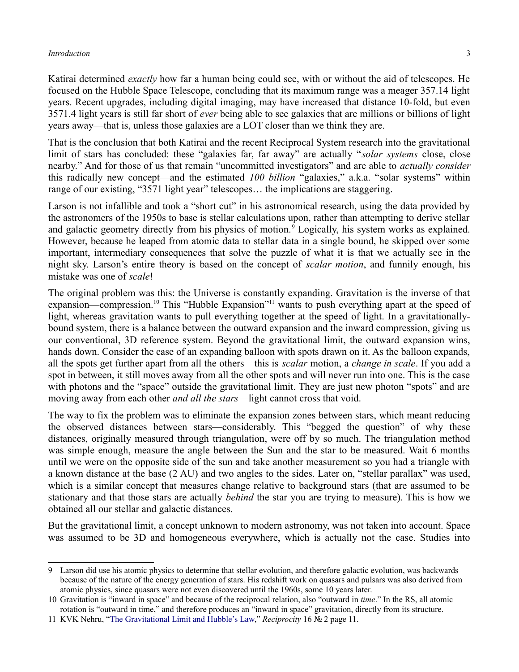Katirai determined *exactly* how far a human being could see, with or without the aid of telescopes. He focused on the Hubble Space Telescope, concluding that its maximum range was a meager 357.14 light years. Recent upgrades, including digital imaging, may have increased that distance 10-fold, but even 3571.4 light years is still far short of *ever* being able to see galaxies that are millions or billions of light years away—that is, unless those galaxies are a LOT closer than we think they are.

That is the conclusion that both Katirai and the recent Reciprocal System research into the gravitational limit of stars has concluded: these "galaxies far, far away" are actually "*solar systems* close, close nearby." And for those of us that remain "uncommitted investigators" and are able to *actually consider* this radically new concept—and the estimated *100 billion* "galaxies," a.k.a. "solar systems" within range of our existing, "3571 light year" telescopes… the implications are staggering.

Larson is not infallible and took a "short cut" in his astronomical research, using the data provided by the astronomers of the 1950s to base is stellar calculations upon, rather than attempting to derive stellar and galactic geometry directly from his physics of motion.<sup>[9](#page-2-0)</sup> Logically, his system works as explained. However, because he leaped from atomic data to stellar data in a single bound, he skipped over some important, intermediary consequences that solve the puzzle of what it is that we actually see in the night sky. Larson's entire theory is based on the concept of *scalar motion*, and funnily enough, his mistake was one of *scale*!

The original problem was this: the Universe is constantly expanding. Gravitation is the inverse of that expansion—compression.<sup>[10](#page-2-1)</sup> This "Hubble Expansion"<sup>[11](#page-2-2)</sup> wants to push everything apart at the speed of light, whereas gravitation wants to pull everything together at the speed of light. In a gravitationallybound system, there is a balance between the outward expansion and the inward compression, giving us our conventional, 3D reference system. Beyond the gravitational limit, the outward expansion wins, hands down. Consider the case of an expanding balloon with spots drawn on it. As the balloon expands, all the spots get further apart from all the others—this is *scalar* motion, a *change in scale*. If you add a spot in between, it still moves away from all the other spots and will never run into one. This is the case with photons and the "space" outside the gravitational limit. They are just new photon "spots" and are moving away from each other *and all the stars*—light cannot cross that void.

The way to fix the problem was to eliminate the expansion zones between stars, which meant reducing the observed distances between stars—considerably. This "begged the question" of why these distances, originally measured through triangulation, were off by so much. The triangulation method was simple enough, measure the angle between the Sun and the star to be measured. Wait 6 months until we were on the opposite side of the sun and take another measurement so you had a triangle with a known distance at the base (2 AU) and two angles to the sides. Later on, "stellar parallax" was used, which is a similar concept that measures change relative to background stars (that are assumed to be stationary and that those stars are actually *behind* the star you are trying to measure). This is how we obtained all our stellar and galactic distances.

But the gravitational limit, a concept unknown to modern astronomy, was not taken into account. Space was assumed to be 3D and homogeneous everywhere, which is actually not the case. Studies into

<span id="page-2-0"></span><sup>9</sup> Larson did use his atomic physics to determine that stellar evolution, and therefore galactic evolution, was backwards because of the nature of the energy generation of stars. His redshift work on quasars and pulsars was also derived from atomic physics, since quasars were not even discovered until the 1960s, some 10 years later.

<span id="page-2-1"></span><sup>10</sup> Gravitation is "inward in space" and because of the reciprocal relation, also "outward in *time*." In the RS, all atomic rotation is "outward in time," and therefore produces an "inward in space" gravitation, directly from its structure.

<span id="page-2-2"></span><sup>11</sup> KVK Nehru, ["The Gravitational Limit and Hubble's Law,](http://reciprocalsystem.org/PDFa/The%20Gravitational%20Limit%20and%20Hubble)" *Reciprocity* 16 № 2 page 11.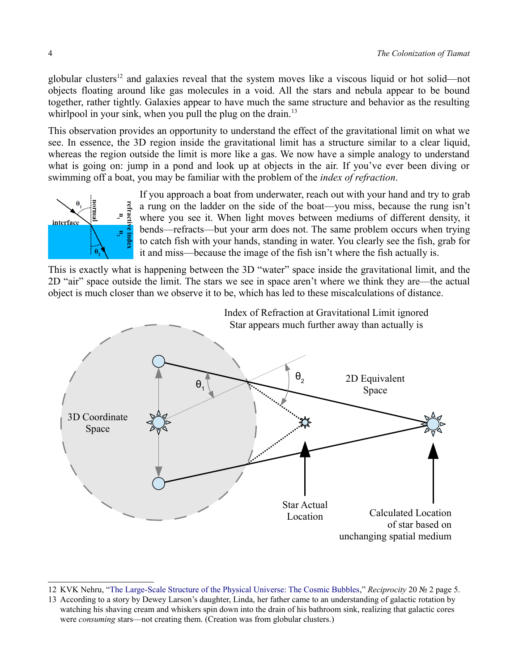globular clusters<sup>[12](#page-3-0)</sup> and galaxies reveal that the system moves like a viscous liquid or hot solid—not objects floating around like gas molecules in a void. All the stars and nebula appear to be bound together, rather tightly. Galaxies appear to have much the same structure and behavior as the resulting whirlpool in your sink, when you pull the plug on the drain.<sup>[13](#page-3-1)</sup>

This observation provides an opportunity to understand the effect of the gravitational limit on what we see. In essence, the 3D region inside the gravitational limit has a structure similar to a clear liquid, whereas the region outside the limit is more like a gas. We now have a simple analogy to understand what is going on: jump in a pond and look up at objects in the air. If you've ever been diving or swimming off a boat, you may be familiar with the problem of the *index of refraction*.



If you approach a boat from underwater, reach out with your hand and try to grab a rung on the ladder on the side of the boat—you miss, because the rung isn't where you see it. When light moves between mediums of different density, it bends—refracts—but your arm does not. The same problem occurs when trying to catch fish with your hands, standing in water. You clearly see the fish, grab for it and miss—because the image of the fish isn't where the fish actually is.

This is exactly what is happening between the 3D "water" space inside the gravitational limit, and the 2D "air" space outside the limit. The stars we see in space aren't where we think they are—the actual object is much closer than we observe it to be, which has led to these miscalculations of distance.



<span id="page-3-0"></span><sup>12</sup> KVK Nehru, ["The Large-Scale Structure of the Physical Universe: The Cosmic Bubbles,](http://reciprocalsystem.org/PDFa/The%20Large-Scale%20Structure%20of%20the%20Physical%20Universe%20(KVK,%20Nehru).pdf)" *Reciprocity* 20 № 2 page 5.

<span id="page-3-1"></span><sup>13</sup> According to a story by Dewey Larson's daughter, Linda, her father came to an understanding of galactic rotation by watching his shaving cream and whiskers spin down into the drain of his bathroom sink, realizing that galactic cores were *consuming* stars—not creating them. (Creation was from globular clusters.)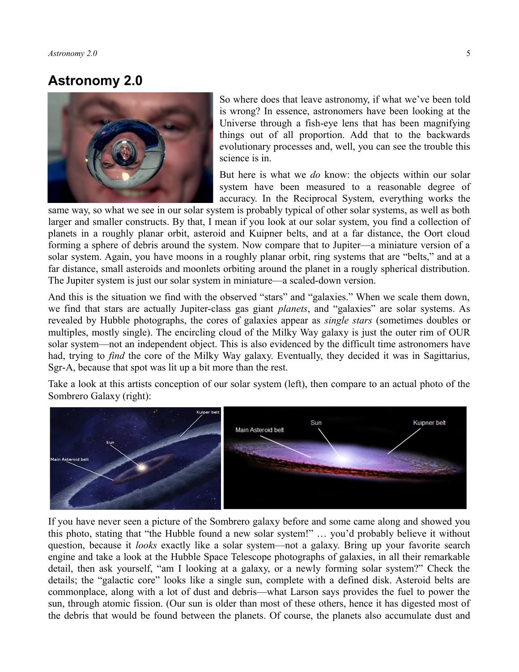### **Astronomy 2.0**



So where does that leave astronomy, if what we've been told is wrong? In essence, astronomers have been looking at the Universe through a fish-eye lens that has been magnifying things out of all proportion. Add that to the backwards evolutionary processes and, well, you can see the trouble this science is in.

But here is what we *do* know: the objects within our solar system have been measured to a reasonable degree of accuracy. In the Reciprocal System, everything works the

same way, so what we see in our solar system is probably typical of other solar systems, as well as both larger and smaller constructs. By that, I mean if you look at our solar system, you find a collection of planets in a roughly planar orbit, asteroid and Kuipner belts, and at a far distance, the Oort cloud forming a sphere of debris around the system. Now compare that to Jupiter—a miniature version of a solar system. Again, you have moons in a roughly planar orbit, ring systems that are "belts," and at a far distance, small asteroids and moonlets orbiting around the planet in a rougly spherical distribution. The Jupiter system is just our solar system in miniature—a scaled-down version.

And this is the situation we find with the observed "stars" and "galaxies." When we scale them down, we find that stars are actually Jupiter-class gas giant *planets*, and "galaxies" are solar systems. As revealed by Hubble photographs, the cores of galaxies appear as *single stars* (sometimes doubles or multiples, mostly single). The encircling cloud of the Milky Way galaxy is just the outer rim of OUR solar system—not an independent object. This is also evidenced by the difficult time astronomers have had, trying to *find* the core of the Milky Way galaxy. Eventually, they decided it was in Sagittarius, Sgr-A, because that spot was lit up a bit more than the rest.

Take a look at this artists conception of our solar system (left), then compare to an actual photo of the Sombrero Galaxy (right):



If you have never seen a picture of the Sombrero galaxy before and some came along and showed you this photo, stating that "the Hubble found a new solar system!" … you'd probably believe it without question, because it *looks* exactly like a solar system—not a galaxy. Bring up your favorite search engine and take a look at the Hubble Space Telescope photographs of galaxies, in all their remarkable detail, then ask yourself, "am I looking at a galaxy, or a newly forming solar system?" Check the details; the "galactic core" looks like a single sun, complete with a defined disk. Asteroid belts are commonplace, along with a lot of dust and debris—what Larson says provides the fuel to power the sun, through atomic fission. (Our sun is older than most of these others, hence it has digested most of the debris that would be found between the planets. Of course, the planets also accumulate dust and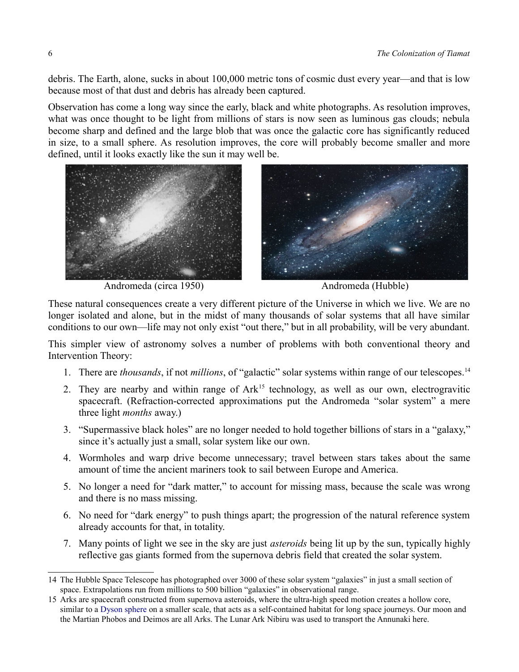debris. The Earth, alone, sucks in about 100,000 metric tons of cosmic dust every year—and that is low because most of that dust and debris has already been captured.

Observation has come a long way since the early, black and white photographs. As resolution improves, what was once thought to be light from millions of stars is now seen as luminous gas clouds; nebula become sharp and defined and the large blob that was once the galactic core has significantly reduced in size, to a small sphere. As resolution improves, the core will probably become smaller and more defined, until it looks exactly like the sun it may well be.



Andromeda (circa 1950) Andromeda (Hubble)

These natural consequences create a very different picture of the Universe in which we live. We are no longer isolated and alone, but in the midst of many thousands of solar systems that all have similar conditions to our own—life may not only exist "out there," but in all probability, will be very abundant.

This simpler view of astronomy solves a number of problems with both conventional theory and Intervention Theory:

- 1. There are *thousands*, if not *millions*, of "galactic" solar systems within range of our telescopes.[14](#page-5-0)
- 2. They are nearby and within range of Ark<sup>[15](#page-5-1)</sup> technology, as well as our own, electrogravitic spacecraft. (Refraction-corrected approximations put the Andromeda "solar system" a mere three light *months* away.)
- 3. "Supermassive black holes" are no longer needed to hold together billions of stars in a "galaxy," since it's actually just a small, solar system like our own.
- 4. Wormholes and warp drive become unnecessary; travel between stars takes about the same amount of time the ancient mariners took to sail between Europe and America.
- 5. No longer a need for "dark matter," to account for missing mass, because the scale was wrong and there is no mass missing.
- 6. No need for "dark energy" to push things apart; the progression of the natural reference system already accounts for that, in totality.
- 7. Many points of light we see in the sky are just *asteroids* being lit up by the sun, typically highly reflective gas giants formed from the supernova debris field that created the solar system.

<span id="page-5-0"></span><sup>14</sup> The Hubble Space Telescope has photographed over 3000 of these solar system "galaxies" in just a small section of space. Extrapolations run from millions to 500 billion "galaxies" in observational range.

<span id="page-5-1"></span><sup>15</sup> Arks are spacecraft constructed from supernova asteroids, where the ultra-high speed motion creates a hollow core, similar to a [Dyson sphere](http://www.google.com/url?sa=t&rct=j&q=&esrc=s&source=web&cd=1&ved=0CCkQFjAA&url=http://en.wikipedia.org/wiki/Dyson_sphere&ei=br5VU9UIxJLIBMzygugE&usg=AFQjCNFtATeVBS1gD_jzAaFChO9lgt6Frg&sig2=ZOodvM_JtIxsVI-pw10UGg&bvm=bv.65177938,d.aWw&cad=rja) on a smaller scale, that acts as a self-contained habitat for long space journeys. Our moon and the Martian Phobos and Deimos are all Arks. The Lunar Ark Nibiru was used to transport the Annunaki here.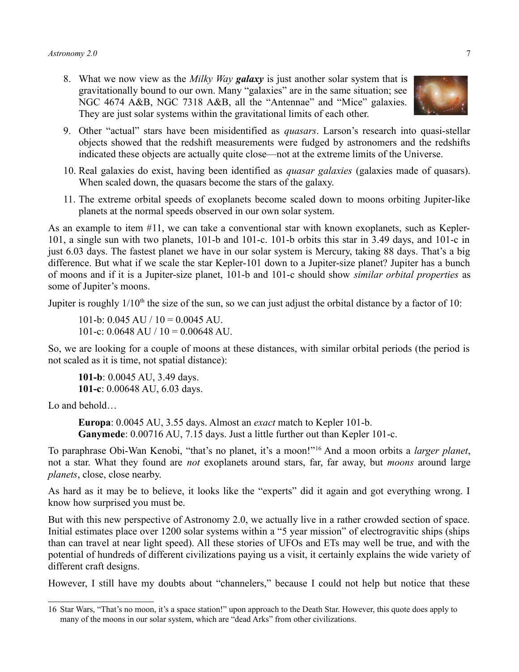8. What we now view as the *Milky Way galaxy* is just another solar system that is gravitationally bound to our own. Many "galaxies" are in the same situation; see NGC 4674 A&B, NGC 7318 A&B, all the "Antennae" and "Mice" galaxies. They are just solar systems within the gravitational limits of each other.



- 10. Real galaxies do exist, having been identified as *quasar galaxies* (galaxies made of quasars). When scaled down, the quasars become the stars of the galaxy.
- <span id="page-6-0"></span>11. The extreme orbital speeds of exoplanets become scaled down to moons orbiting Jupiter-like planets at the normal speeds observed in our own solar system.

As an example to item [#11,](#page-6-0) we can take a conventional star with known exoplanets, such as Kepler-101, a single sun with two planets, 101-b and 101-c. 101-b orbits this star in 3.49 days, and 101-c in just 6.03 days. The fastest planet we have in our solar system is Mercury, taking 88 days. That's a big difference. But what if we scale the star Kepler-101 down to a Jupiter-size planet? Jupiter has a bunch of moons and if it is a Jupiter-size planet, 101-b and 101-c should show *similar orbital properties* as some of Jupiter's moons.

Jupiter is roughly  $1/10<sup>th</sup>$  the size of the sun, so we can just adjust the orbital distance by a factor of 10:

101-b:  $0.045 \text{ AU} / 10 = 0.0045 \text{ AU}$ . 101-c:  $0.0648$  AU  $/ 10 = 0.00648$  AU.

So, we are looking for a couple of moons at these distances, with similar orbital periods (the period is not scaled as it is time, not spatial distance):

**101-b**: 0.0045 AU, 3.49 days. **101-c**: 0.00648 AU, 6.03 days.

Lo and behold…

**Europa**: 0.0045 AU, 3.55 days. Almost an *exact* match to Kepler 101-b. **Ganymede**: 0.00716 AU, 7.15 days. Just a little further out than Kepler 101-c.

To paraphrase Obi-Wan Kenobi, "that's no planet, it's a moon!"[16](#page-6-1) And a moon orbits a *larger planet*, not a star. What they found are *not* exoplanets around stars, far, far away, but *moons* around large *planets*, close, close nearby.

As hard as it may be to believe, it looks like the "experts" did it again and got everything wrong. I know how surprised you must be.

But with this new perspective of Astronomy 2.0, we actually live in a rather crowded section of space. Initial estimates place over 1200 solar systems within a "5 year mission" of electrogravitic ships (ships than can travel at near light speed). All these stories of UFOs and ETs may well be true, and with the potential of hundreds of different civilizations paying us a visit, it certainly explains the wide variety of different craft designs.

However, I still have my doubts about "channelers," because I could not help but notice that these



<span id="page-6-1"></span><sup>16</sup> Star Wars, "That's no moon, it's a space station!" upon approach to the Death Star. However, this quote does apply to many of the moons in our solar system, which are "dead Arks" from other civilizations.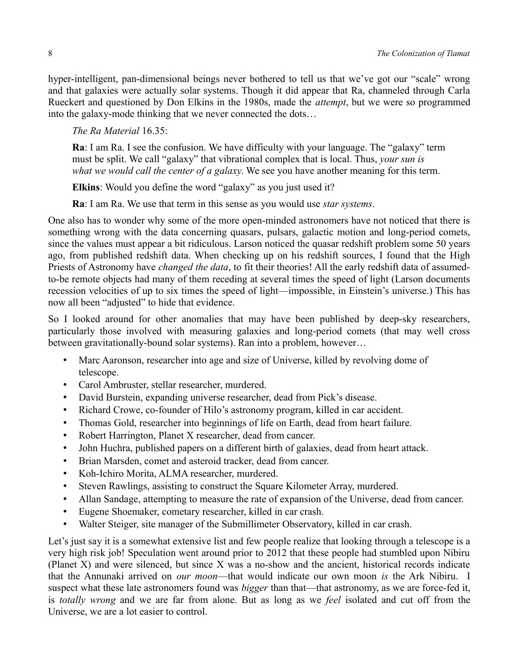hyper-intelligent, pan-dimensional beings never bothered to tell us that we've got our "scale" wrong and that galaxies were actually solar systems. Though it did appear that Ra, channeled through Carla Rueckert and questioned by Don Elkins in the 1980s, made the *attempt*, but we were so programmed into the galaxy-mode thinking that we never connected the dots…

*The Ra Material* 16.35:

**Ra**: I am Ra. I see the confusion. We have difficulty with your language. The "galaxy" term must be split. We call "galaxy" that vibrational complex that is local. Thus, *your sun is what we would call the center of a galaxy*. We see you have another meaning for this term.

**Elkins**: Would you define the word "galaxy" as you just used it?

**Ra**: I am Ra. We use that term in this sense as you would use *star systems*.

One also has to wonder why some of the more open-minded astronomers have not noticed that there is something wrong with the data concerning quasars, pulsars, galactic motion and long-period comets, since the values must appear a bit ridiculous. Larson noticed the quasar redshift problem some 50 years ago, from published redshift data. When checking up on his redshift sources, I found that the High Priests of Astronomy have *changed the data*, to fit their theories! All the early redshift data of assumedto-be remote objects had many of them receding at several times the speed of light (Larson documents recession velocities of up to six times the speed of light—impossible, in Einstein's universe.) This has now all been "adjusted" to hide that evidence.

So I looked around for other anomalies that may have been published by deep-sky researchers, particularly those involved with measuring galaxies and long-period comets (that may well cross between gravitationally-bound solar systems). Ran into a problem, however…

- Marc Aaronson, researcher into age and size of Universe, killed by revolving dome of telescope.
- Carol Ambruster, stellar researcher, murdered.
- David Burstein, expanding universe researcher, dead from Pick's disease.
- Richard Crowe, co-founder of Hilo's astronomy program, killed in car accident.
- Thomas Gold, researcher into beginnings of life on Earth, dead from heart failure.
- Robert Harrington, Planet X researcher, dead from cancer.
- John Huchra, published papers on a different birth of galaxies, dead from heart attack.
- Brian Marsden, comet and asteroid tracker, dead from cancer.
- Koh-Ichiro Morita, ALMA researcher, murdered.
- Steven Rawlings, assisting to construct the Square Kilometer Array, murdered.
- Allan Sandage, attempting to measure the rate of expansion of the Universe, dead from cancer.
- Eugene Shoemaker, cometary researcher, killed in car crash.
- Walter Steiger, site manager of the Submillimeter Observatory, killed in car crash.

Let's just say it is a somewhat extensive list and few people realize that looking through a telescope is a very high risk job! Speculation went around prior to 2012 that these people had stumbled upon Nibiru (Planet X) and were silenced, but since X was a no-show and the ancient, historical records indicate that the Annunaki arrived on *our moon*—that would indicate our own moon *is* the Ark Nibiru. I suspect what these late astronomers found was *bigger* than that—that astronomy, as we are force-fed it, is *totally wrong* and we are far from alone. But as long as we *feel* isolated and cut off from the Universe, we are a lot easier to control.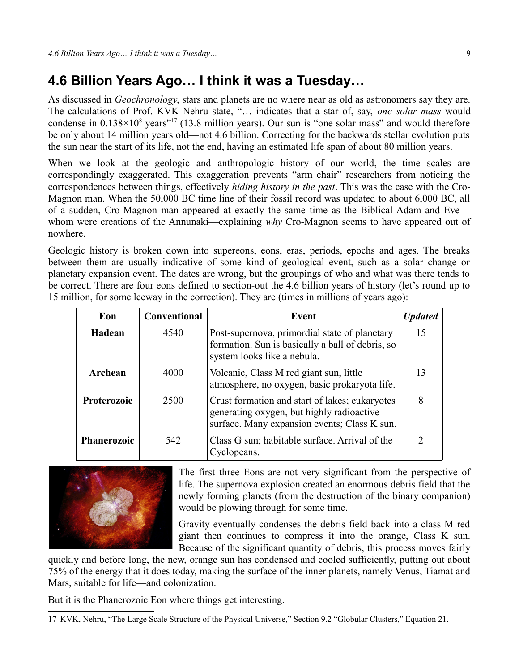### **4.6 Billion Years Ago… I think it was a Tuesday…**

As discussed in *Geochronology*, stars and planets are no where near as old as astronomers say they are. The calculations of Prof. KVK Nehru state, "… indicates that a star of, say, *one solar mass* would condense in  $0.138 \times 10^8$  years"<sup>[17](#page-8-0)</sup> (13.8 million years). Our sun is "one solar mass" and would therefore be only about 14 million years old—not 4.6 billion. Correcting for the backwards stellar evolution puts the sun near the start of its life, not the end, having an estimated life span of about 80 million years.

When we look at the geologic and anthropologic history of our world, the time scales are correspondingly exaggerated. This exaggeration prevents "arm chair" researchers from noticing the correspondences between things, effectively *hiding history in the past*. This was the case with the Cro-Magnon man. When the 50,000 BC time line of their fossil record was updated to about 6,000 BC, all of a sudden, Cro-Magnon man appeared at exactly the same time as the Biblical Adam and Eve whom were creations of the Annunaki—explaining *why* Cro-Magnon seems to have appeared out of nowhere.

Geologic history is broken down into supereons, eons, eras, periods, epochs and ages. The breaks between them are usually indicative of some kind of geological event, such as a solar change or planetary expansion event. The dates are wrong, but the groupings of who and what was there tends to be correct. There are four eons defined to section-out the 4.6 billion years of history (let's round up to 15 million, for some leeway in the correction). They are (times in millions of years ago):

| Eon                | Conventional | Event                                                                                                                                       | <b>Updated</b> |
|--------------------|--------------|---------------------------------------------------------------------------------------------------------------------------------------------|----------------|
| Hadean             | 4540         | Post-supernova, primordial state of planetary<br>formation. Sun is basically a ball of debris, so<br>system looks like a nebula.            | 15             |
| Archean            | 4000         | Volcanic, Class M red giant sun, little<br>atmosphere, no oxygen, basic prokaryota life.                                                    | 13             |
| Proterozoic        | 2500         | Crust formation and start of lakes; eukaryotes<br>generating oxygen, but highly radioactive<br>surface. Many expansion events; Class K sun. | 8              |
| <b>Phanerozoic</b> | 542          | Class G sun; habitable surface. Arrival of the<br>Cyclopeans.                                                                               | $\mathcal{D}$  |



The first three Eons are not very significant from the perspective of life. The supernova explosion created an enormous debris field that the newly forming planets (from the destruction of the binary companion) would be plowing through for some time.

Gravity eventually condenses the debris field back into a class M red giant then continues to compress it into the orange, Class K sun. Because of the significant quantity of debris, this process moves fairly

quickly and before long, the new, orange sun has condensed and cooled sufficiently, putting out about 75% of the energy that it does today, making the surface of the inner planets, namely Venus, Tiamat and Mars, suitable for life—and colonization.

But it is the Phanerozoic Eon where things get interesting.

<span id="page-8-0"></span><sup>17</sup> KVK, Nehru, "The Large Scale Structure of the Physical Universe," Section 9.2 "Globular Clusters," Equation 21.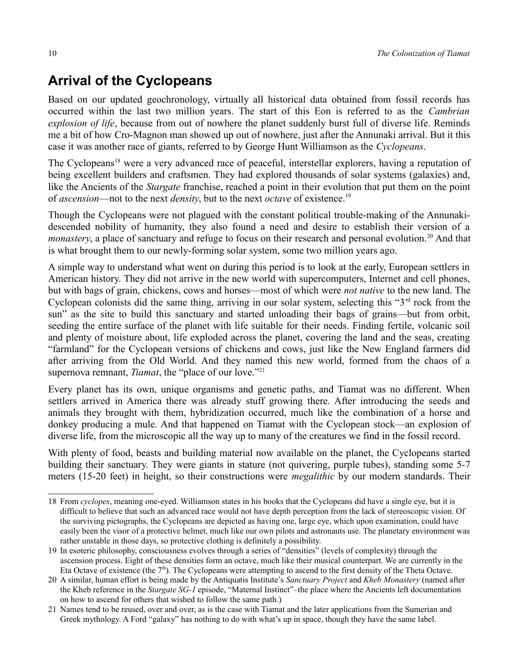# **Arrival of the Cyclopeans**

Based on our updated geochronology, virtually all historical data obtained from fossil records has occurred within the last two million years. The start of this Eon is referred to as the *Cambrian explosion of life*, because from out of nowhere the planet suddenly burst full of diverse life. Reminds me a bit of how Cro-Magnon man showed up out of nowhere, just after the Annunaki arrival. But it this case it was another race of giants, referred to by George Hunt Williamson as the *Cyclopeans*.

The Cyclopeans<sup>[18](#page-9-0)</sup> were a very advanced race of peaceful, interstellar explorers, having a reputation of being excellent builders and craftsmen. They had explored thousands of solar systems (galaxies) and, like the Ancients of the *Stargate* franchise, reached a point in their evolution that put them on the point of *ascension*—not to the next *density*, but to the next *octave* of existence.[19](#page-9-1)

Though the Cyclopeans were not plagued with the constant political trouble-making of the Annunakidescended nobility of humanity, they also found a need and desire to establish their version of a *monastery*, a place of sanctuary and refuge to focus on their research and personal evolution.<sup>[20](#page-9-2)</sup> And that is what brought them to our newly-forming solar system, some two million years ago.

A simple way to understand what went on during this period is to look at the early, European settlers in American history. They did not arrive in the new world with supercomputers, Internet and cell phones, but with bags of grain, chickens, cows and horses—most of which were *not native* to the new land. The Cyclopean colonists did the same thing, arriving in our solar system, selecting this " $3<sup>rd</sup>$  rock from the sun" as the site to build this sanctuary and started unloading their bags of grains—but from orbit, seeding the entire surface of the planet with life suitable for their needs. Finding fertile, volcanic soil and plenty of moisture about, life exploded across the planet, covering the land and the seas, creating "farmland" for the Cyclopean versions of chickens and cows, just like the New England farmers did after arriving from the Old World. And they named this new world, formed from the chaos of a supernova remnant, *Tiamat*, the "place of our love."<sup>[21](#page-9-3)</sup>

Every planet has its own, unique organisms and genetic paths, and Tiamat was no different. When settlers arrived in America there was already stuff growing there. After introducing the seeds and animals they brought with them, hybridization occurred, much like the combination of a horse and donkey producing a mule. And that happened on Tiamat with the Cyclopean stock—an explosion of diverse life, from the microscopic all the way up to many of the creatures we find in the fossil record.

With plenty of food, beasts and building material now available on the planet, the Cyclopeans started building their sanctuary. They were giants in stature (not quivering, purple tubes), standing some 5-7 meters (15-20 feet) in height, so their constructions were *megalithic* by our modern standards. Their

<span id="page-9-0"></span><sup>18</sup> From *cyclopes*, meaning one-eyed. Williamson states in his books that the Cyclopeans did have a single eye, but it is difficult to believe that such an advanced race would not have depth perception from the lack of stereoscopic vision. Of the surviving pictographs, the Cyclopeans are depicted as having one, large eye, which upon examination, could have easily been the visor of a protective helmet, much like our own pilots and astronauts use. The planetary environment was rather unstable in those days, so protective clothing is definitely a possibility.

<span id="page-9-1"></span><sup>19</sup> In esoteric philosophy, consciousness evolves through a series of "densities" (levels of complexity) through the ascension process. Eight of these densities form an octave, much like their musical counterpart. We are currently in the Eta Octave of existence (the  $7<sup>th</sup>$ ). The Cyclopeans were attempting to ascend to the first density of the Theta Octave.

<span id="page-9-2"></span><sup>20</sup> A similar, human effort is being made by the Antiquatis Institute's *Sanctuary Project* and *Kheb Monastery* (named after the Kheb reference in the *Stargate SG-1* episode, "Maternal Instinct"–the place where the Ancients left documentation on how to ascend for others that wished to follow the same path.)

<span id="page-9-3"></span><sup>21</sup> Names tend to be reused, over and over, as is the case with Tiamat and the later applications from the Sumerian and Greek mythology. A Ford "galaxy" has nothing to do with what's up in space, though they have the same label.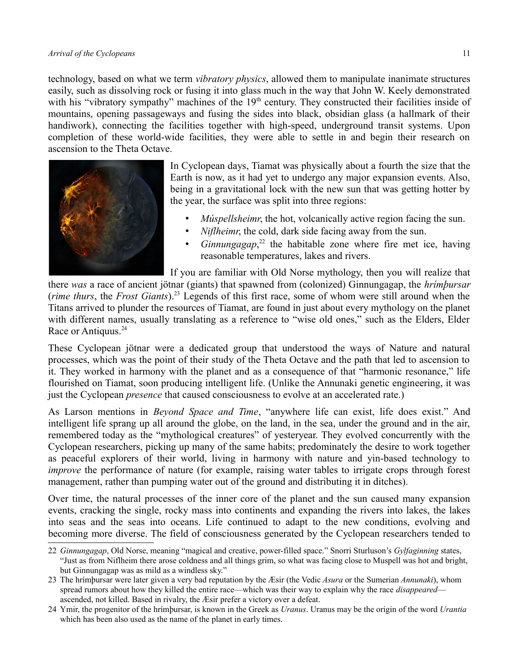technology, based on what we term *vibratory physics*, allowed them to manipulate inanimate structures easily, such as dissolving rock or fusing it into glass much in the way that John W. Keely demonstrated with his "vibratory sympathy" machines of the  $19<sup>th</sup>$  century. They constructed their facilities inside of mountains, opening passageways and fusing the sides into black, obsidian glass (a hallmark of their handiwork), connecting the facilities together with high-speed, underground transit systems. Upon completion of these world-wide facilities, they were able to settle in and begin their research on ascension to the Theta Octave.



In Cyclopean days, Tiamat was physically about a fourth the size that the Earth is now, as it had yet to undergo any major expansion events. Also, being in a gravitational lock with the new sun that was getting hotter by the year, the surface was split into three regions:

- *Múspellsheimr*, the hot, volcanically active region facing the sun.
- *Niflheimr*, the cold, dark side facing away from the sun.
- *Ginnungagap*, [22](#page-10-0) the habitable zone where fire met ice, having reasonable temperatures, lakes and rivers.

If you are familiar with Old Norse mythology, then you will realize that

there *was* a race of ancient jötnar (giants) that spawned from (colonized) Ginnungagap, the *hrímþursar* (*rime thurs*, the *Frost Giants*).[23](#page-10-1) Legends of this first race, some of whom were still around when the Titans arrived to plunder the resources of Tiamat, are found in just about every mythology on the planet with different names, usually translating as a reference to "wise old ones," such as the Elders, Elder Race or Antiquus.<sup>[24](#page-10-2)</sup>

These Cyclopean jötnar were a dedicated group that understood the ways of Nature and natural processes, which was the point of their study of the Theta Octave and the path that led to ascension to it. They worked in harmony with the planet and as a consequence of that "harmonic resonance," life flourished on Tiamat, soon producing intelligent life. (Unlike the Annunaki genetic engineering, it was just the Cyclopean *presence* that caused consciousness to evolve at an accelerated rate.)

As Larson mentions in *Beyond Space and Time*, "anywhere life can exist, life does exist." And intelligent life sprang up all around the globe, on the land, in the sea, under the ground and in the air, remembered today as the "mythological creatures" of yesteryear. They evolved concurrently with the Cyclopean researchers, picking up many of the same habits; predominately the desire to work together as peaceful explorers of their world, living in harmony with nature and yin-based technology to *improve* the performance of nature (for example, raising water tables to irrigate crops through forest management, rather than pumping water out of the ground and distributing it in ditches).

Over time, the natural processes of the inner core of the planet and the sun caused many expansion events, cracking the single, rocky mass into continents and expanding the rivers into lakes, the lakes into seas and the seas into oceans. Life continued to adapt to the new conditions, evolving and becoming more diverse. The field of consciousness generated by the Cyclopean researchers tended to

<span id="page-10-0"></span><sup>22</sup> *Ginnungagap*, Old Norse, meaning "magical and creative, power-filled space." Snorri Sturluson's *Gylfaginning* states, "Just as from Niflheim there arose coldness and all things grim, so what was facing close to Muspell was hot and bright, but Ginnungagap was as mild as a windless sky."

<span id="page-10-1"></span><sup>23</sup> The hrímþursar were later given a very bad reputation by the Æsir (the Vedic *Asura* or the Sumerian *Annunaki*), whom spread rumors about how they killed the entire race—which was their way to explain why the race *disappeared* ascended, not killed. Based in rivalry, the Æsir prefer a victory over a defeat.

<span id="page-10-2"></span><sup>24</sup> Ymir, the progenitor of the hrímþursar, is known in the Greek as *Uranus*. Uranus may be the origin of the word *Urantia* which has been also used as the name of the planet in early times.